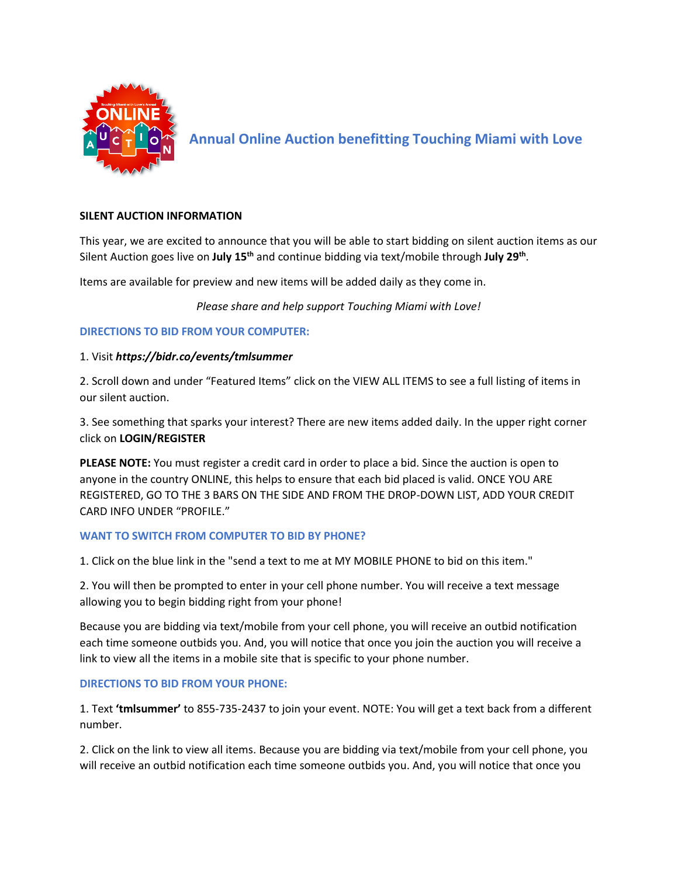

# **Annual Online Auction benefitting Touching Miami with Love**

## **SILENT AUCTION INFORMATION**

This year, we are excited to announce that you will be able to start bidding on silent auction items as our Silent Auction goes live on **July 15th** and continue bidding via text/mobile through **July 29th** .

Items are available for preview and new items will be added daily as they come in.

*Please share and help support Touching Miami with Love!*

## **DIRECTIONS TO BID FROM YOUR COMPUTER:**

#### 1. Visit *https://bidr.co/events/tmlsummer*

2. Scroll down and under "Featured Items" click on the VIEW ALL ITEMS to see a full listing of items in our silent auction.

3. See something that sparks your interest? There are new items added daily. In the upper right corner click on **LOGIN/REGISTER**

**PLEASE NOTE:** You must register a credit card in order to place a bid. Since the auction is open to anyone in the country ONLINE, this helps to ensure that each bid placed is valid. ONCE YOU ARE REGISTERED, GO TO THE 3 BARS ON THE SIDE AND FROM THE DROP-DOWN LIST, ADD YOUR CREDIT CARD INFO UNDER "PROFILE."

## **WANT TO SWITCH FROM COMPUTER TO BID BY PHONE?**

1. Click on the blue link in the "send a text to me at MY MOBILE PHONE to bid on this item."

2. You will then be prompted to enter in your cell phone number. You will receive a text message allowing you to begin bidding right from your phone!

Because you are bidding via text/mobile from your cell phone, you will receive an outbid notification each time someone outbids you. And, you will notice that once you join the auction you will receive a link to view all the items in a mobile site that is specific to your phone number.

## **DIRECTIONS TO BID FROM YOUR PHONE:**

1. Text **'tmlsummer'** to 855-735-2437 to join your event. NOTE: You will get a text back from a different number.

2. Click on the link to view all items. Because you are bidding via text/mobile from your cell phone, you will receive an outbid notification each time someone outbids you. And, you will notice that once you